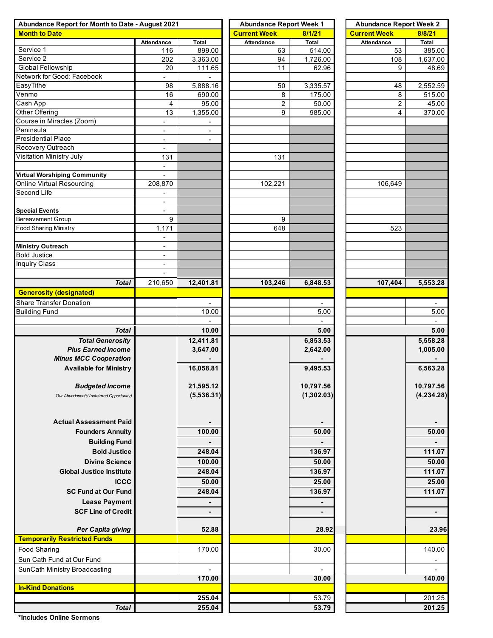| Abundance Report for Month to Date - August 2021 | <b>Abundance Report Week 1</b> |                          | <b>Abundance Report Week 2</b> |                     |            |                |  |  |
|--------------------------------------------------|--------------------------------|--------------------------|--------------------------------|---------------------|------------|----------------|--|--|
| <b>Month to Date</b>                             |                                | <b>Current Week</b>      | 8/1/21                         | <b>Current Week</b> | 8/8/21     |                |  |  |
|                                                  | Attendance                     | <b>Total</b>             | Attendance                     | Total               | Attendance | Total          |  |  |
| Service 1                                        | 116                            | 899.00                   | 63                             | 514.00              | 53         | 385.00         |  |  |
| Service 2                                        | 202                            | 3,363.00                 | 94                             | 1,726.00            | 108        | 1,637.00       |  |  |
| <b>Global Fellowship</b>                         | 20                             | 111.65                   | 11                             | 62.96               | 9          | 48.69          |  |  |
| Network for Good: Facebook                       |                                |                          |                                |                     |            |                |  |  |
| EasyTithe                                        | 98                             | 5,888.16                 | 50                             | 3,335.57            | 48         | 2,552.59       |  |  |
| Venmo                                            | 16                             | 690.00                   | 8                              | 175.00              | 8          | 515.00         |  |  |
| $\overline{\mathsf{Cash}}$ App                   | 4                              | 95.00                    | 2                              | 50.00               | 2          | 45.00          |  |  |
| Other Offering                                   | 13                             | 1,355.00                 | 9                              | 985.00              | 4          | 370.00         |  |  |
| Course in Miracles (Zoom)                        | $\overline{\phantom{a}}$       |                          |                                |                     |            |                |  |  |
| Peninsula<br><b>Presidential Place</b>           | $\overline{\phantom{a}}$       | $\overline{\phantom{a}}$ |                                |                     |            |                |  |  |
|                                                  | $\overline{\phantom{a}}$       |                          |                                |                     |            |                |  |  |
| Recovery Outreach<br>Visitation Ministry July    | $\overline{\phantom{a}}$       |                          |                                |                     |            |                |  |  |
|                                                  | 131                            |                          | 131                            |                     |            |                |  |  |
|                                                  | $\blacksquare$                 |                          |                                |                     |            |                |  |  |
| <b>Virtual Worshiping Community</b>              | $\blacksquare$                 |                          |                                |                     |            |                |  |  |
| Online Virtual Resourcing                        | 208,870                        |                          | 102,221                        |                     | 106,649    |                |  |  |
| Second Life                                      |                                |                          |                                |                     |            |                |  |  |
|                                                  | $\overline{\phantom{a}}$       |                          |                                |                     |            |                |  |  |
| <b>Special Events</b><br>Bereavement Group       | 9                              |                          |                                |                     |            |                |  |  |
| <b>Food Sharing Ministry</b>                     | 1,171                          |                          | 9<br>648                       |                     | 523        |                |  |  |
|                                                  |                                |                          |                                |                     |            |                |  |  |
| <b>Ministry Outreach</b>                         | ٠<br>$\overline{\phantom{a}}$  |                          |                                |                     |            |                |  |  |
| <b>Bold Justice</b>                              | $\overline{\phantom{a}}$       |                          |                                |                     |            |                |  |  |
| <b>Inquiry Class</b>                             | $\overline{\phantom{a}}$       |                          |                                |                     |            |                |  |  |
|                                                  |                                |                          |                                |                     |            |                |  |  |
|                                                  |                                |                          |                                |                     |            |                |  |  |
| <b>Total</b>                                     | 210,650                        | 12,401.81                | 103,246                        | 6,848.53            | 107,404    | 5,553.28       |  |  |
| <b>Generosity (designated)</b>                   |                                |                          |                                |                     |            |                |  |  |
| Share Transfer Donation                          |                                |                          |                                |                     |            |                |  |  |
| <b>Building Fund</b>                             |                                | 10.00                    |                                | 5.00                |            | 5.00           |  |  |
|                                                  |                                |                          |                                |                     |            | $\blacksquare$ |  |  |
| <b>Total</b>                                     |                                | 10.00                    |                                | 5.00                |            | 5.00           |  |  |
| <b>Total Generosity</b>                          |                                | 12,411.81                |                                | 6,853.53            |            | 5,558.28       |  |  |
| <b>Plus Earned Income</b>                        |                                | 3,647.00                 |                                | 2,642.00            |            | 1,005.00       |  |  |
| <b>Minus MCC Cooperation</b>                     |                                |                          |                                |                     |            |                |  |  |
| <b>Available for Ministry</b>                    |                                | 16,058.81                |                                | 9,495.53            |            | 6,563.28       |  |  |
|                                                  |                                |                          |                                |                     |            |                |  |  |
| <b>Budgeted Income</b>                           |                                | 21,595.12                |                                | 10,797.56           |            | 10,797.56      |  |  |
| Our Abundance/(Unclaimed Opportunity)            |                                | (5,536.31)               |                                | (1,302.03)          |            | (4, 234.28)    |  |  |
|                                                  |                                |                          |                                |                     |            |                |  |  |
|                                                  |                                |                          |                                |                     |            |                |  |  |
| <b>Actual Assessment Paid</b>                    |                                |                          |                                |                     |            |                |  |  |
| <b>Founders Annuity</b>                          |                                | 100.00                   |                                | 50.00               |            | 50.00          |  |  |
| <b>Building Fund</b>                             |                                |                          |                                |                     |            |                |  |  |
| <b>Bold Justice</b>                              |                                | 248.04                   |                                | 136.97              |            | 111.07         |  |  |
| <b>Divine Science</b>                            |                                | 100.00                   |                                | 50.00               |            | 50.00          |  |  |
| <b>Global Justice Institute</b>                  |                                | 248.04                   |                                | 136.97              |            | 111.07         |  |  |
| <b>ICCC</b>                                      |                                | 50.00                    |                                | 25.00               |            | 25.00          |  |  |
|                                                  |                                |                          |                                |                     |            |                |  |  |
| <b>SC Fund at Our Fund</b>                       |                                | 248.04                   |                                | 136.97              |            | 111.07         |  |  |
| <b>Lease Payment</b>                             |                                |                          |                                |                     |            |                |  |  |
| <b>SCF Line of Credit</b>                        |                                | $\blacksquare$           |                                | $\blacksquare$      |            | $\blacksquare$ |  |  |
|                                                  |                                |                          |                                |                     |            |                |  |  |
| Per Capita giving                                |                                | 52.88                    |                                | 28.92               |            | 23.96          |  |  |
| <b>Temporarily Restricted Funds</b>              |                                |                          |                                |                     |            |                |  |  |
| <b>Food Sharing</b>                              |                                | 170.00                   |                                | 30.00               |            | 140.00         |  |  |
| Sun Cath Fund at Our Fund                        |                                |                          |                                |                     |            |                |  |  |
| SunCath Ministry Broadcasting                    |                                |                          |                                |                     |            |                |  |  |
|                                                  |                                | 170.00                   |                                | 30.00               |            | 140.00         |  |  |
| <b>In-Kind Donations</b>                         |                                |                          |                                |                     |            |                |  |  |
|                                                  |                                | 255.04                   |                                | 53.79               |            | 201.25         |  |  |
| <b>Total</b>                                     |                                | 255.04                   |                                | 53.79               |            | 201.25         |  |  |
|                                                  |                                |                          |                                |                     |            |                |  |  |

**\*Includes Online Sermons**